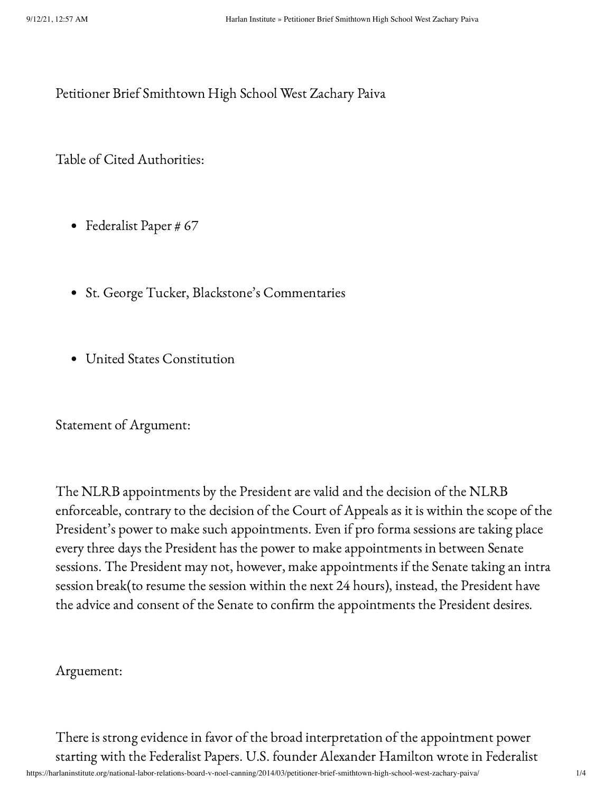Petitioner Brief Smithtown High School West Zachary Paiva

Table of Cited Authorities:

- Federalist Paper # 67
- St. George Tucker, Blackstone's Commentaries
- United States Constitution

Statement of Argument:

The NLRB appointments by the President are valid and the decision of the NLRB enforceable, contrary to the decision of the Court of Appeals as it is within the scope of the President's power to make such appointments. Even if pro forma sessions are taking place every three days the President has the power to make appointments in between Senate sessions. The President may not, however, make appointments if the Senate taking an intra session break(to resume the session within the next 24 hours), instead, the President have the advice and consent of the Senate to confirm the appointments the President desires.

## Arguement:

There is strong evidence in favor of the broad interpretation of the appointment power starting with the Federalist Papers. U.S. founder Alexander Hamilton wrote in Federalist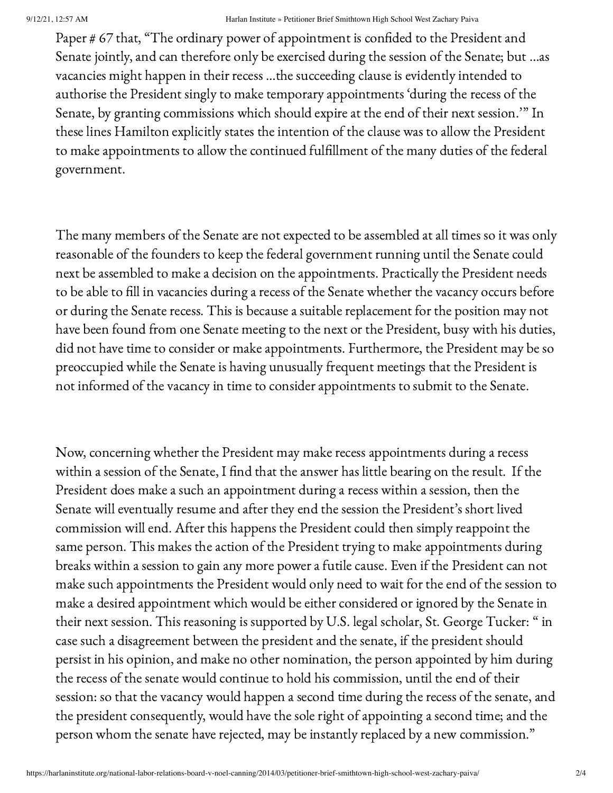Paper # 67 that, "The ordinary power of appointment is confided to the President and Senate jointly, and can therefore only be exercised during the session of the Senate; but …as vacancies might happen in their recess …the succeeding clause is evidently intended to authorise the President singly to make temporary appointments 'during the recess of the Senate, by granting commissions which should expire at the end of their next session.'" In these lines Hamilton explicitly states the intention of the clause was to allow the President to make appointments to allow the continued fulfillment of the many duties of the federal government.

The many members of the Senate are not expected to be assembled at all times so it was only reasonable of the founders to keep the federal government running until the Senate could next be assembled to make a decision on the appointments. Practically the President needs to be able to fill in vacancies during a recess of the Senate whether the vacancy occurs before or during the Senate recess. This is because a suitable replacement for the position may not have been found from one Senate meeting to the next or the President, busy with his duties, did not have time to consider or make appointments. Furthermore, the President may be so preoccupied while the Senate is having unusually frequent meetings that the President is not informed of the vacancy in time to consider appointments to submit to the Senate.

Now, concerning whether the President may make recess appointments during a recess within a session of the Senate, I find that the answer has little bearing on the result. If the President does make a such an appointment during a recess within a session, then the Senate will eventually resume and after they end the session the President's short lived commission will end. After this happens the President could then simply reappoint the same person. This makes the action of the President trying to make appointments during breaks within a session to gain any more power a futile cause. Even if the President can not make such appointments the President would only need to wait for the end of the session to make a desired appointment which would be either considered or ignored by the Senate in their next session. This reasoning is supported by U.S. legal scholar, St. George Tucker: " in case such a disagreement between the president and the senate, if the president should persist in his opinion, and make no other nomination, the person appointed by him during the recess of the senate would continue to hold his commission, until the end of their session: so that the vacancy would happen a second time during the recess of the senate, and the president consequently, would have the sole right of appointing a second time; and the person whom the senate have rejected, may be instantly replaced by a new commission."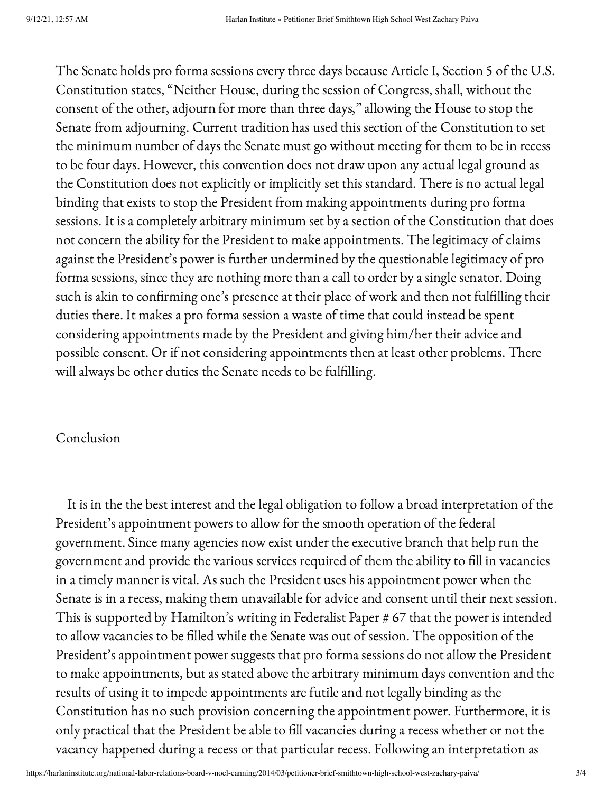The Senate holds pro forma sessions every three days because Article I, Section 5 of the U.S. Constitution states, "Neither House, during the session of Congress, shall, without the consent of the other, adjourn for more than three days," allowing the House to stop the Senate from adjourning. Current tradition has used this section of the Constitution to set the minimum number of days the Senate must go without meeting for them to be in recess to be four days. However, this convention does not draw upon any actual legal ground as the Constitution does not explicitly or implicitly set this standard. There is no actual legal binding that exists to stop the President from making appointments during pro forma sessions. It is a completely arbitrary minimum set by a section of the Constitution that does not concern the ability for the President to make appointments. The legitimacy of claims against the President's power is further undermined by the questionable legitimacy of pro forma sessions, since they are nothing more than a call to order by a single senator. Doing such is akin to confirming one's presence at their place of work and then not fulfilling their duties there. It makes a pro forma session a waste of time that could instead be spent considering appointments made by the President and giving him/her their advice and possible consent. Or if not considering appointments then at least other problems. There will always be other duties the Senate needs to be fulfilling.

## Conclusion

It is in the the best interest and the legal obligation to follow a broad interpretation of the President's appointment powers to allow for the smooth operation of the federal government. Since many agencies now exist under the executive branch that help run the government and provide the various services required of them the ability to fill in vacancies in a timely manner is vital. As such the President uses his appointment power when the Senate is in a recess, making them unavailable for advice and consent until their next session. This is supported by Hamilton's writing in Federalist Paper # 67 that the power is intended to allow vacancies to be filled while the Senate was out of session. The opposition of the President's appointment power suggests that pro forma sessions do not allow the President to make appointments, but as stated above the arbitrary minimum days convention and the results of using it to impede appointments are futile and not legally binding as the Constitution has no such provision concerning the appointment power. Furthermore, it is only practical that the President be able to fill vacancies during a recess whether or not the vacancy happened during a recess or that particular recess. Following an interpretation as